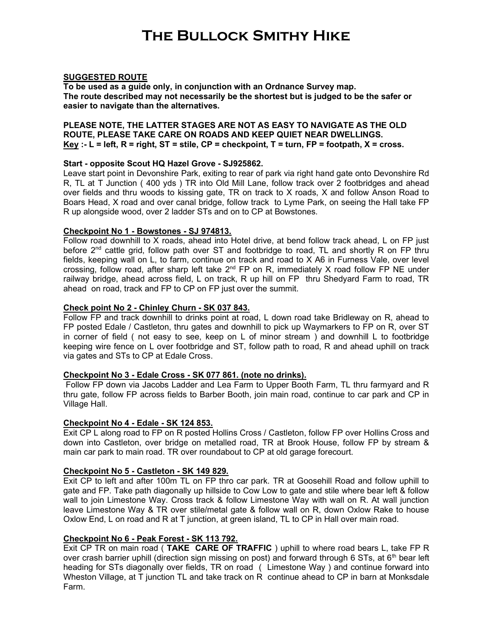## The Bullock Smithy Hike

## SUGGESTED ROUTE

To be used as a guide only, in conjunction with an Ordnance Survey map. The route described may not necessarily be the shortest but is judged to be the safer or easier to navigate than the alternatives.

## PLEASE NOTE, THE LATTER STAGES ARE NOT AS EASY TO NAVIGATE AS THE OLD ROUTE, PLEASE TAKE CARE ON ROADS AND KEEP QUIET NEAR DWELLINGS. Key :- L = left, R = right, ST = stile, CP = checkpoint, T = turn, FP = footpath, X = cross.

## Start - opposite Scout HQ Hazel Grove - SJ925862.

Leave start point in Devonshire Park, exiting to rear of park via right hand gate onto Devonshire Rd R, TL at T Junction ( 400 yds ) TR into Old Mill Lane, follow track over 2 footbridges and ahead over fields and thru woods to kissing gate, TR on track to X roads, X and follow Anson Road to Boars Head, X road and over canal bridge, follow track to Lyme Park, on seeing the Hall take FP R up alongside wood, over 2 ladder STs and on to CP at Bowstones.

### Checkpoint No 1 - Bowstones - SJ 974813.

Follow road downhill to X roads, ahead into Hotel drive, at bend follow track ahead, L on FP just before 2<sup>nd</sup> cattle grid, follow path over ST and footbridge to road, TL and shortly R on FP thru fields, keeping wall on L, to farm, continue on track and road to X A6 in Furness Vale, over level crossing, follow road, after sharp left take  $2<sup>nd</sup> FP$  on R, immediately X road follow FP NE under railway bridge, ahead across field, L on track, R up hill on FP thru Shedyard Farm to road, TR ahead on road, track and FP to CP on FP just over the summit.

## Check point No 2 - Chinley Churn - SK 037 843.

Follow FP and track downhill to drinks point at road, L down road take Bridleway on R, ahead to FP posted Edale / Castleton, thru gates and downhill to pick up Waymarkers to FP on R, over ST in corner of field ( not easy to see, keep on L of minor stream ) and downhill L to footbridge keeping wire fence on L over footbridge and ST, follow path to road, R and ahead uphill on track via gates and STs to CP at Edale Cross.

### Checkpoint No 3 - Edale Cross - SK 077 861. (note no drinks).

Follow FP down via Jacobs Ladder and Lea Farm to Upper Booth Farm, TL thru farmyard and R thru gate, follow FP across fields to Barber Booth, join main road, continue to car park and CP in Village Hall.

### Checkpoint No 4 - Edale - SK 124 853.

Exit CP L along road to FP on R posted Hollins Cross / Castleton, follow FP over Hollins Cross and down into Castleton, over bridge on metalled road, TR at Brook House, follow FP by stream & main car park to main road. TR over roundabout to CP at old garage forecourt.

## Checkpoint No 5 - Castleton - SK 149 829.

Exit CP to left and after 100m TL on FP thro car park. TR at Goosehill Road and follow uphill to gate and FP. Take path diagonally up hillside to Cow Low to gate and stile where bear left & follow wall to join Limestone Way. Cross track & follow Limestone Way with wall on R. At wall junction leave Limestone Way & TR over stile/metal gate & follow wall on R, down Oxlow Rake to house Oxlow End, L on road and R at T junction, at green island, TL to CP in Hall over main road.

### Checkpoint No 6 - Peak Forest - SK 113 792.

Exit CP TR on main road (TAKE CARE OF TRAFFIC) uphill to where road bears L, take FP R over crash barrier uphill (direction sign missing on post) and forward through 6 STs, at 6<sup>th</sup> bear left heading for STs diagonally over fields, TR on road ( Limestone Way ) and continue forward into Wheston Village, at T junction TL and take track on R continue ahead to CP in barn at Monksdale Farm.